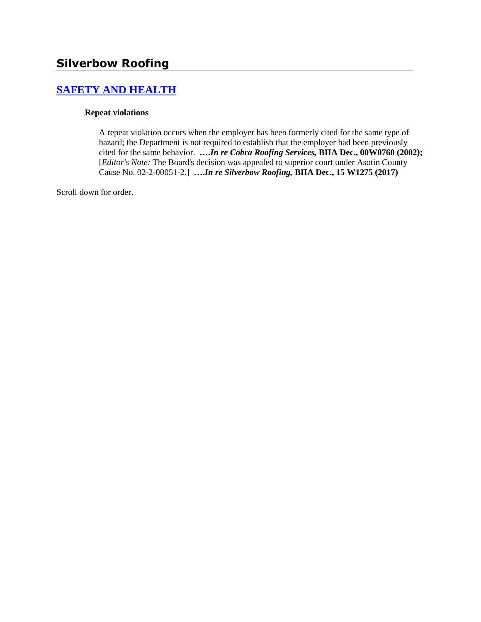# **[SAFETY AND HEALTH](http://www.biia.wa.gov/SDSubjectIndex.html#SAFETY_AND_HEALTH)**

#### **Repeat violations**

A repeat violation occurs when the employer has been formerly cited for the same type of hazard; the Department is not required to establish that the employer had been previously cited for the same behavior. **….***In re Cobra Roofing Services,* **BIIA Dec., 00W0760 (2002);**  [*Editor's Note:* The Board's decision was appealed to superior court under Asotin County Cause No. 02-2-00051-2.] **….***In re Silverbow Roofing,* **BIIA Dec., 15 W1275 (2017)** 

Scroll down for order.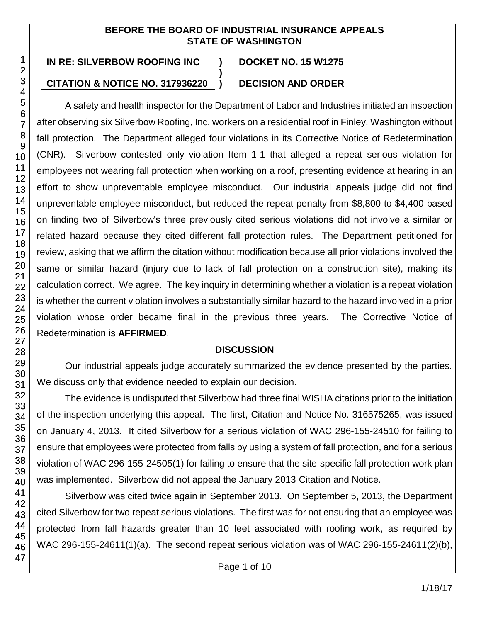### **BEFORE THE BOARD OF INDUSTRIAL INSURANCE APPEALS STATE OF WASHINGTON**

**)**

# **IN RE: SILVERBOW ROOFING INC ) DOCKET NO. 15 W1275**

## **CITATION & NOTICE NO. 317936220 ) DECISION AND ORDER**

A safety and health inspector for the Department of Labor and Industries initiated an inspection after observing six Silverbow Roofing, Inc. workers on a residential roof in Finley, Washington without fall protection. The Department alleged four violations in its Corrective Notice of Redetermination (CNR). Silverbow contested only violation Item 1-1 that alleged a repeat serious violation for employees not wearing fall protection when working on a roof, presenting evidence at hearing in an effort to show unpreventable employee misconduct. Our industrial appeals judge did not find unpreventable employee misconduct, but reduced the repeat penalty from \$8,800 to \$4,400 based on finding two of Silverbow's three previously cited serious violations did not involve a similar or related hazard because they cited different fall protection rules. The Department petitioned for review, asking that we affirm the citation without modification because all prior violations involved the same or similar hazard (injury due to lack of fall protection on a construction site), making its calculation correct. We agree. The key inquiry in determining whether a violation is a repeat violation is whether the current violation involves a substantially similar hazard to the hazard involved in a prior violation whose order became final in the previous three years. The Corrective Notice of Redetermination is **AFFIRMED**.

### **DISCUSSION**

Our industrial appeals judge accurately summarized the evidence presented by the parties. We discuss only that evidence needed to explain our decision.

The evidence is undisputed that Silverbow had three final WISHA citations prior to the initiation of the inspection underlying this appeal. The first, Citation and Notice No. 316575265, was issued on January 4, 2013. It cited Silverbow for a serious violation of WAC 296-155-24510 for failing to ensure that employees were protected from falls by using a system of fall protection, and for a serious violation of WAC 296-155-24505(1) for failing to ensure that the site-specific fall protection work plan was implemented. Silverbow did not appeal the January 2013 Citation and Notice.

Silverbow was cited twice again in September 2013. On September 5, 2013, the Department cited Silverbow for two repeat serious violations. The first was for not ensuring that an employee was protected from fall hazards greater than 10 feet associated with roofing work, as required by WAC 296-155-24611(1)(a). The second repeat serious violation was of WAC 296-155-24611(2)(b),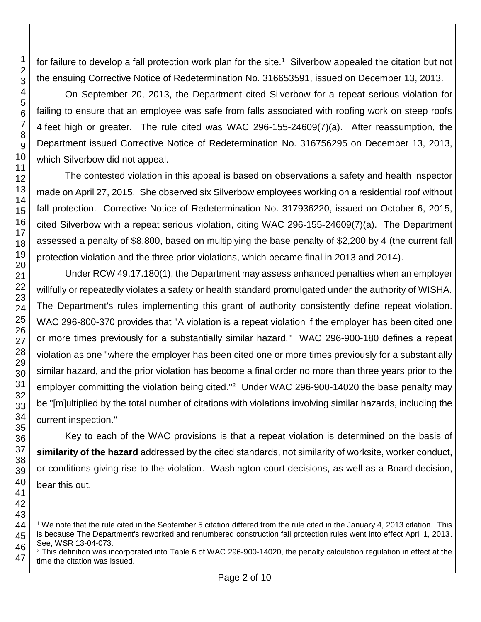for failure to develop a fall protection work plan for the site.<sup>1</sup> Silverbow appealed the citation but not the ensuing Corrective Notice of Redetermination No. 316653591, issued on December 13, 2013.

On September 20, 2013, the Department cited Silverbow for a repeat serious violation for failing to ensure that an employee was safe from falls associated with roofing work on steep roofs feet high or greater. The rule cited was WAC 296-155-24609(7)(a). After reassumption, the Department issued Corrective Notice of Redetermination No. 316756295 on December 13, 2013, which Silverbow did not appeal.

The contested violation in this appeal is based on observations a safety and health inspector made on April 27, 2015. She observed six Silverbow employees working on a residential roof without fall protection. Corrective Notice of Redetermination No. 317936220, issued on October 6, 2015, cited Silverbow with a repeat serious violation, citing WAC 296-155-24609(7)(a). The Department assessed a penalty of \$8,800, based on multiplying the base penalty of \$2,200 by 4 (the current fall protection violation and the three prior violations, which became final in 2013 and 2014).

Under RCW 49.17.180(1), the Department may assess enhanced penalties when an employer willfully or repeatedly violates a safety or health standard promulgated under the authority of WISHA. The Department's rules implementing this grant of authority consistently define repeat violation. WAC 296-800-370 provides that "A violation is a repeat violation if the employer has been cited one or more times previously for a substantially similar hazard." WAC 296-900-180 defines a repeat violation as one "where the employer has been cited one or more times previously for a substantially similar hazard, and the prior violation has become a final order no more than three years prior to the employer committing the violation being cited."<sup>2</sup> Under WAC 296-900-14020 the base penalty may be "[m]ultiplied by the total number of citations with violations involving similar hazards, including the current inspection."

Key to each of the WAC provisions is that a repeat violation is determined on the basis of **similarity of the hazard** addressed by the cited standards, not similarity of worksite, worker conduct, or conditions giving rise to the violation. Washington court decisions, as well as a Board decision, bear this out.

 We note that the rule cited in the September 5 citation differed from the rule cited in the January 4, 2013 citation. This is because The Department's reworked and renumbered construction fall protection rules went into effect April 1, 2013. See, WSR 13-04-073.

 This definition was incorporated into Table 6 of WAC 296-900-14020, the penalty calculation regulation in effect at the time the citation was issued.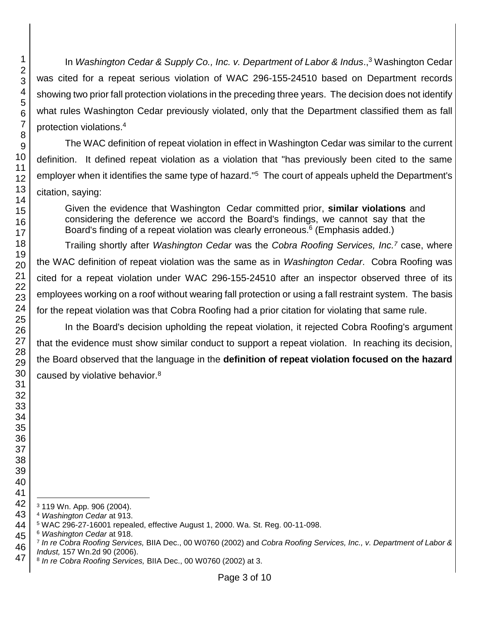In *Washington Cedar & Supply Co., Inc. v. Department of Labor & Indus*., <sup>3</sup> Washington Cedar was cited for a repeat serious violation of WAC 296-155-24510 based on Department records showing two prior fall protection violations in the preceding three years. The decision does not identify what rules Washington Cedar previously violated, only that the Department classified them as fall protection violations. 4

The WAC definition of repeat violation in effect in Washington Cedar was similar to the current definition. It defined repeat violation as a violation that "has previously been cited to the same employer when it identifies the same type of hazard."<sup>5</sup> The court of appeals upheld the Department's citation, saying:

Given the evidence that Washington Cedar committed prior, **similar violations** and considering the deference we accord the Board's findings, we cannot say that the Board's finding of a repeat violation was clearly erroneous.<sup>6</sup> (Emphasis added.)

Trailing shortly after *Washington Cedar* was the *Cobra Roofing Services, Inc.<sup>7</sup>* case, where the WAC definition of repeat violation was the same as in *Washington Cedar*. Cobra Roofing was cited for a repeat violation under WAC 296-155-24510 after an inspector observed three of its employees working on a roof without wearing fall protection or using a fall restraint system. The basis for the repeat violation was that Cobra Roofing had a prior citation for violating that same rule.

In the Board's decision upholding the repeat violation, it rejected Cobra Roofing's argument that the evidence must show similar conduct to support a repeat violation. In reaching its decision, the Board observed that the language in the **definition of repeat violation focused on the hazard**  caused by violative behavior.<sup>8</sup>

 119 Wn. App. 906 (2004).

*Washington Cedar* at 913.

WAC 296-27-16001 repealed, effective August 1, 2000. Wa. St. Reg. 00-11-098.

*Washington Cedar* at 918.

 *In re Cobra Roofing Services,* BIIA Dec., 00 W0760 (2002) and *Cobra Roofing Services, Inc., v. Department of Labor & Indust,* 157 Wn.2d 90 (2006).

 *In re Cobra Roofing Services,* BIIA Dec., 00 W0760 (2002) at 3.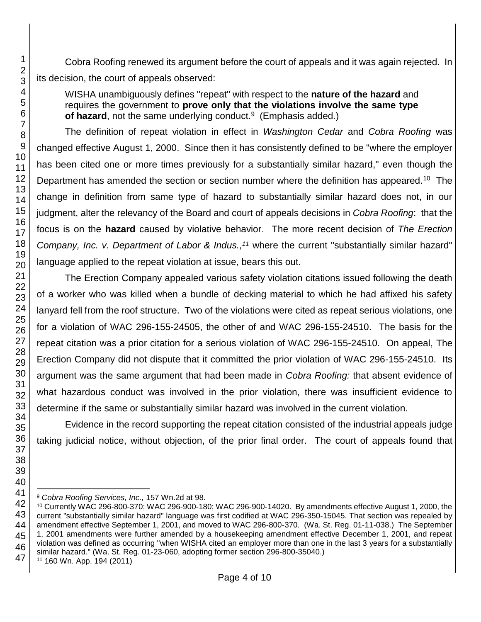Cobra Roofing renewed its argument before the court of appeals and it was again rejected. In its decision, the court of appeals observed:

WISHA unambiguously defines "repeat" with respect to the **nature of the hazard** and requires the government to **prove only that the violations involve the same type**  of hazard, not the same underlying conduct.<sup>9</sup> (Emphasis added.)

The definition of repeat violation in effect in *Washington Cedar* and *Cobra Roofing* was changed effective August 1, 2000. Since then it has consistently defined to be "where the employer has been cited one or more times previously for a substantially similar hazard," even though the Department has amended the section or section number where the definition has appeared.<sup>10</sup> The change in definition from same type of hazard to substantially similar hazard does not, in our judgment, alter the relevancy of the Board and court of appeals decisions in *Cobra Roofing*: that the focus is on the **hazard** caused by violative behavior. The more recent decision of *The Erection Company, Inc. v. Department of Labor & Indus., <sup>11</sup>* where the current "substantially similar hazard" language applied to the repeat violation at issue, bears this out.

The Erection Company appealed various safety violation citations issued following the death of a worker who was killed when a bundle of decking material to which he had affixed his safety lanyard fell from the roof structure. Two of the violations were cited as repeat serious violations, one for a violation of WAC 296-155-24505, the other of and WAC 296-155-24510. The basis for the repeat citation was a prior citation for a serious violation of WAC 296-155-24510. On appeal, The Erection Company did not dispute that it committed the prior violation of WAC 296-155-24510. Its argument was the same argument that had been made in *Cobra Roofing:* that absent evidence of what hazardous conduct was involved in the prior violation, there was insufficient evidence to determine if the same or substantially similar hazard was involved in the current violation.

Evidence in the record supporting the repeat citation consisted of the industrial appeals judge taking judicial notice, without objection, of the prior final order. The court of appeals found that

 *Cobra Roofing Services, Inc.,* 157 Wn.2d at 98.

 Currently WAC 296-800-370; WAC 296-900-180; WAC 296-900-14020. By amendments effective August 1, 2000, the current "substantially similar hazard" language was first codified at WAC 296-350-15045. That section was repealed by amendment effective September 1, 2001, and moved to WAC 296-800-370. (Wa. St. Reg. 01-11-038.) The September 1, 2001 amendments were further amended by a housekeeping amendment effective December 1, 2001, and repeat violation was defined as occurring "when WISHA cited an employer more than one in the last 3 years for a substantially similar hazard." (Wa. St. Reg. 01-23-060, adopting former section 296-800-35040.)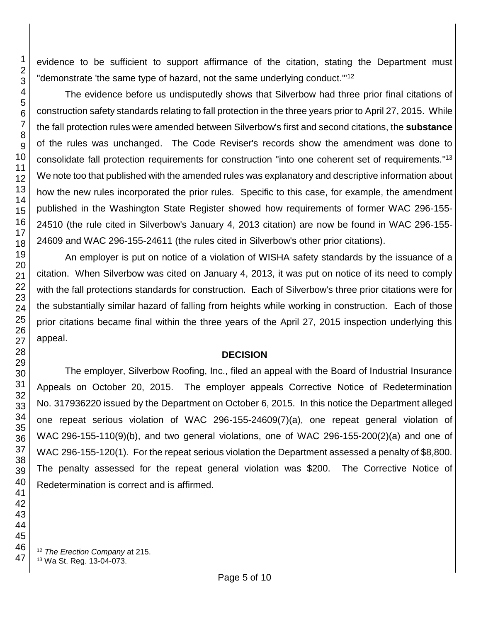evidence to be sufficient to support affirmance of the citation, stating the Department must "demonstrate 'the same type of hazard, not the same underlying conduct."<sup>12</sup>

The evidence before us undisputedly shows that Silverbow had three prior final citations of construction safety standards relating to fall protection in the three years prior to April 27, 2015. While the fall protection rules were amended between Silverbow's first and second citations, the **substance** of the rules was unchanged. The Code Reviser's records show the amendment was done to consolidate fall protection requirements for construction "into one coherent set of requirements." 13 We note too that published with the amended rules was explanatory and descriptive information about how the new rules incorporated the prior rules. Specific to this case, for example, the amendment published in the Washington State Register showed how requirements of former WAC 296-155- 24510 (the rule cited in Silverbow's January 4, 2013 citation) are now be found in WAC 296-155- and WAC 296-155-24611 (the rules cited in Silverbow's other prior citations).

An employer is put on notice of a violation of WISHA safety standards by the issuance of a citation. When Silverbow was cited on January 4, 2013, it was put on notice of its need to comply with the fall protections standards for construction. Each of Silverbow's three prior citations were for the substantially similar hazard of falling from heights while working in construction. Each of those prior citations became final within the three years of the April 27, 2015 inspection underlying this appeal.

## **DECISION**

The employer, Silverbow Roofing, Inc., filed an appeal with the Board of Industrial Insurance Appeals on October 20, 2015. The employer appeals Corrective Notice of Redetermination No. 317936220 issued by the Department on October 6, 2015. In this notice the Department alleged one repeat serious violation of WAC 296-155-24609(7)(a), one repeat general violation of WAC 296-155-110(9)(b), and two general violations, one of WAC 296-155-200(2)(a) and one of WAC 296-155-120(1). For the repeat serious violation the Department assessed a penalty of \$8,800. The penalty assessed for the repeat general violation was \$200. The Corrective Notice of Redetermination is correct and is affirmed.

*The Erection Company* at 215.

Wa St. Reg. 13-04-073.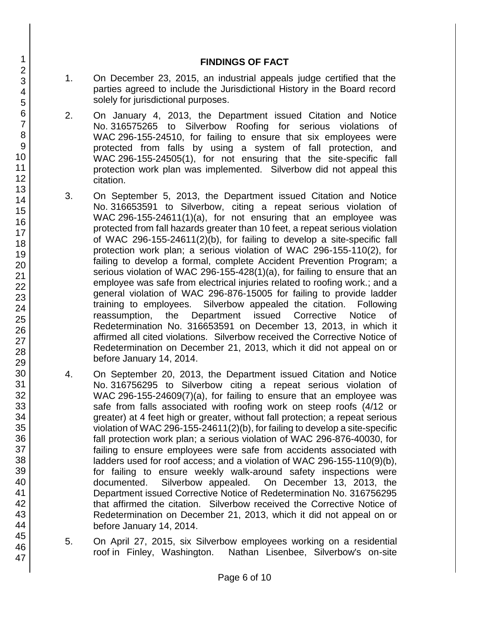### **FINDINGS OF FACT**

- 1. On December 23, 2015, an industrial appeals judge certified that the parties agreed to include the Jurisdictional History in the Board record solely for jurisdictional purposes.
- 2. On January 4, 2013, the Department issued Citation and Notice No. 316575265 to Silverbow Roofing for serious violations of WAC 296-155-24510, for failing to ensure that six employees were protected from falls by using a system of fall protection, and WAC 296-155-24505(1), for not ensuring that the site-specific fall protection work plan was implemented. Silverbow did not appeal this citation.
- 3. On September 5, 2013, the Department issued Citation and Notice No. 316653591 to Silverbow, citing a repeat serious violation of WAC 296-155-24611(1)(a), for not ensuring that an employee was protected from fall hazards greater than 10 feet, a repeat serious violation of WAC 296-155-24611(2)(b), for failing to develop a site-specific fall protection work plan; a serious violation of WAC 296-155-110(2), for failing to develop a formal, complete Accident Prevention Program; a serious violation of WAC 296-155-428(1)(a), for failing to ensure that an employee was safe from electrical injuries related to roofing work.; and a general violation of WAC 296-876-15005 for failing to provide ladder training to employees. Silverbow appealed the citation. Following reassumption, the Department issued Corrective Notice of Redetermination No. 316653591 on December 13, 2013, in which it affirmed all cited violations. Silverbow received the Corrective Notice of Redetermination on December 21, 2013, which it did not appeal on or before January 14, 2014.
- 4. On September 20, 2013, the Department issued Citation and Notice No. 316756295 to Silverbow citing a repeat serious violation of WAC 296-155-24609(7)(a), for failing to ensure that an employee was safe from falls associated with roofing work on steep roofs (4/12 or greater) at 4 feet high or greater, without fall protection; a repeat serious violation of WAC 296-155-24611(2)(b), for failing to develop a site-specific fall protection work plan; a serious violation of WAC 296-876-40030, for failing to ensure employees were safe from accidents associated with ladders used for roof access; and a violation of WAC 296-155-110(9)(b), for failing to ensure weekly walk-around safety inspections were documented. Silverbow appealed. On December 13, 2013, the Department issued Corrective Notice of Redetermination No. 316756295 that affirmed the citation. Silverbow received the Corrective Notice of Redetermination on December 21, 2013, which it did not appeal on or before January 14, 2014.
- 5. On April 27, 2015, six Silverbow employees working on a residential roof in Finley, Washington. Nathan Lisenbee, Silverbow's on-site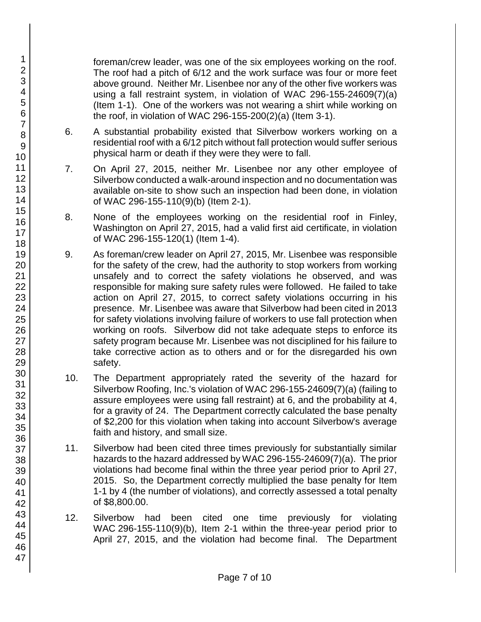foreman/crew leader, was one of the six employees working on the roof. The roof had a pitch of 6/12 and the work surface was four or more feet above ground. Neither Mr. Lisenbee nor any of the other five workers was using a fall restraint system, in violation of WAC 296-155-24609(7)(a) (Item 1-1). One of the workers was not wearing a shirt while working on the roof, in violation of WAC 296-155-200(2)(a) (Item 3-1).

- 6. A substantial probability existed that Silverbow workers working on a residential roof with a 6/12 pitch without fall protection would suffer serious physical harm or death if they were they were to fall.
- 7. On April 27, 2015, neither Mr. Lisenbee nor any other employee of Silverbow conducted a walk-around inspection and no documentation was available on-site to show such an inspection had been done, in violation of WAC 296-155-110(9)(b) (Item 2-1).
- 8. None of the employees working on the residential roof in Finley, Washington on April 27, 2015, had a valid first aid certificate, in violation of WAC 296-155-120(1) (Item 1-4).
- 9. As foreman/crew leader on April 27, 2015, Mr. Lisenbee was responsible for the safety of the crew, had the authority to stop workers from working unsafely and to correct the safety violations he observed, and was responsible for making sure safety rules were followed. He failed to take action on April 27, 2015, to correct safety violations occurring in his presence. Mr. Lisenbee was aware that Silverbow had been cited in 2013 for safety violations involving failure of workers to use fall protection when working on roofs. Silverbow did not take adequate steps to enforce its safety program because Mr. Lisenbee was not disciplined for his failure to take corrective action as to others and or for the disregarded his own safety.
- 10. The Department appropriately rated the severity of the hazard for Silverbow Roofing, Inc.'s violation of WAC 296-155-24609(7)(a) (failing to assure employees were using fall restraint) at 6, and the probability at 4, for a gravity of 24. The Department correctly calculated the base penalty of \$2,200 for this violation when taking into account Silverbow's average faith and history, and small size.
- 11. Silverbow had been cited three times previously for substantially similar hazards to the hazard addressed by WAC 296-155-24609(7)(a). The prior violations had become final within the three year period prior to April 27, 2015. So, the Department correctly multiplied the base penalty for Item 1-1 by 4 (the number of violations), and correctly assessed a total penalty of \$8,800.00.
- 12. Silverbow had been cited one time previously for violating WAC 296-155-110(9)(b), Item 2-1 within the three-year period prior to April 27, 2015, and the violation had become final. The Department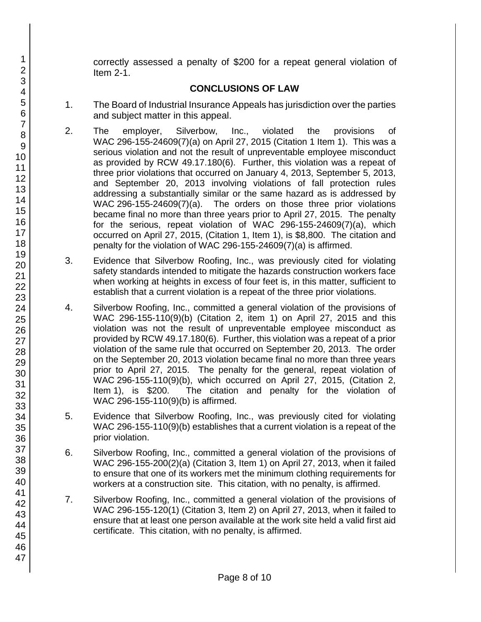correctly assessed a penalty of \$200 for a repeat general violation of Item 2-1.

# **CONCLUSIONS OF LAW**

- 1. The Board of Industrial Insurance Appeals has jurisdiction over the parties and subject matter in this appeal.
- 2. The employer, Silverbow, Inc., violated the provisions of WAC 296-155-24609(7)(a) on April 27, 2015 (Citation 1 Item 1). This was a serious violation and not the result of unpreventable employee misconduct as provided by RCW 49.17.180(6). Further, this violation was a repeat of three prior violations that occurred on January 4, 2013, September 5, 2013, and September 20, 2013 involving violations of fall protection rules addressing a substantially similar or the same hazard as is addressed by WAC 296-155-24609(7)(a). The orders on those three prior violations became final no more than three years prior to April 27, 2015. The penalty for the serious, repeat violation of WAC 296-155-24609(7)(a), which occurred on April 27, 2015, (Citation 1, Item 1), is \$8,800. The citation and penalty for the violation of WAC 296-155-24609(7)(a) is affirmed.
- 3. Evidence that Silverbow Roofing, Inc., was previously cited for violating safety standards intended to mitigate the hazards construction workers face when working at heights in excess of four feet is, in this matter, sufficient to establish that a current violation is a repeat of the three prior violations.
- 4. Silverbow Roofing, Inc., committed a general violation of the provisions of WAC 296-155-110(9)(b) (Citation 2, item 1) on April 27, 2015 and this violation was not the result of unpreventable employee misconduct as provided by RCW 49.17.180(6). Further, this violation was a repeat of a prior violation of the same rule that occurred on September 20, 2013. The order on the September 20, 2013 violation became final no more than three years prior to April 27, 2015. The penalty for the general, repeat violation of WAC 296-155-110(9)(b), which occurred on April 27, 2015, (Citation 2, Item 1), is \$200. The citation and penalty for the violation of WAC 296-155-110(9)(b) is affirmed.
- 5. Evidence that Silverbow Roofing, Inc., was previously cited for violating WAC 296-155-110(9)(b) establishes that a current violation is a repeat of the prior violation.
- 6. Silverbow Roofing, Inc., committed a general violation of the provisions of WAC 296-155-200(2)(a) (Citation 3, Item 1) on April 27, 2013, when it failed to ensure that one of its workers met the minimum clothing requirements for workers at a construction site. This citation, with no penalty, is affirmed.
- 7. Silverbow Roofing, Inc., committed a general violation of the provisions of WAC 296-155-120(1) (Citation 3, Item 2) on April 27, 2013, when it failed to ensure that at least one person available at the work site held a valid first aid certificate. This citation, with no penalty, is affirmed.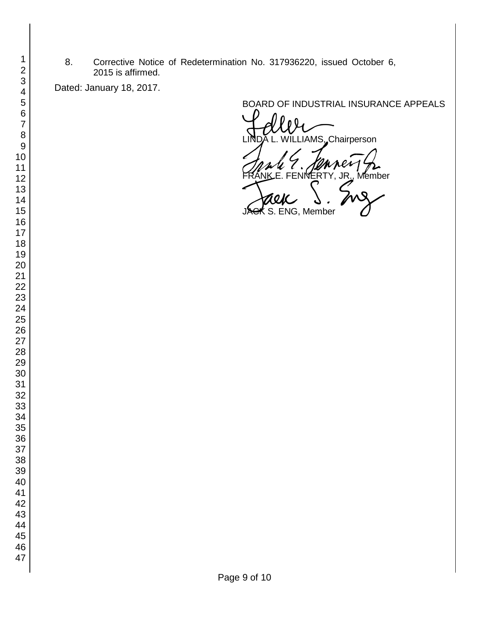8. Corrective Notice of Redetermination No. 317936220, issued October 6, 2015 is affirmed.

Dated: January 18, 2017.

BOARD OF INDUSTRIAL INSURANCE APPEALS<br>
UNDA L. WILLIAMS, Chairperson FRANKE. FENNERTY, JR., Member<br>FRANKE. FENNERTY, JR., Member<br>JACK S. ENG, Member